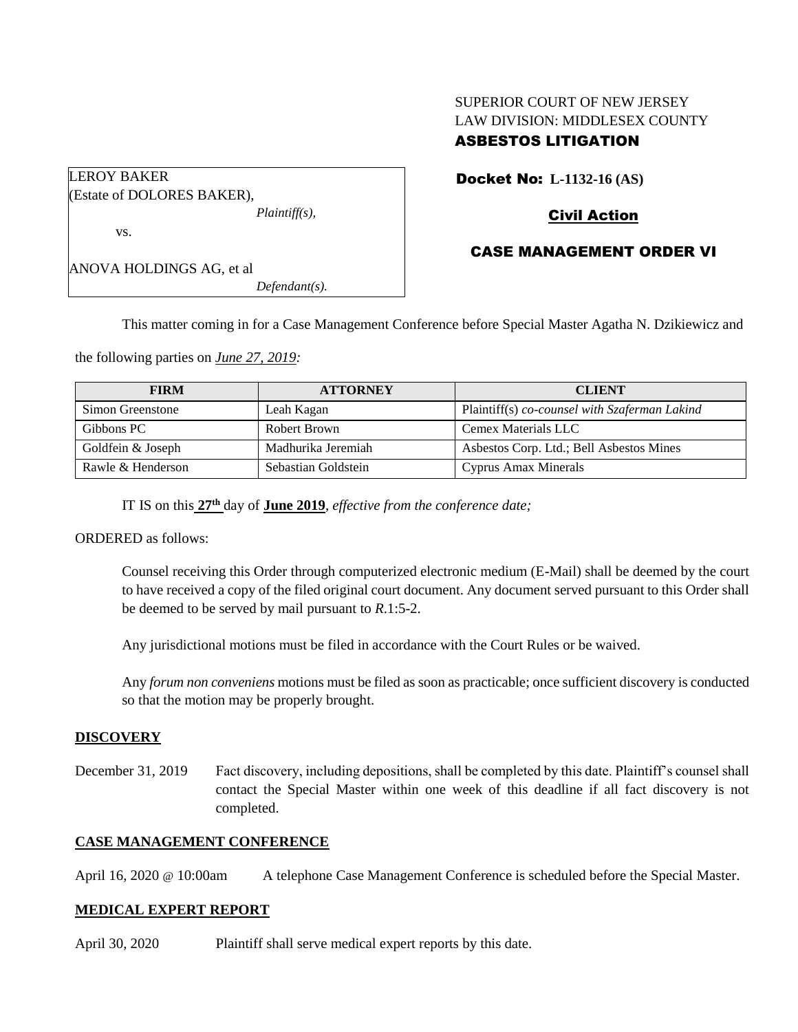# SUPERIOR COURT OF NEW JERSEY LAW DIVISION: MIDDLESEX COUNTY ASBESTOS LITIGATION

| <b>LEROY BAKER</b>         |                  |  |
|----------------------------|------------------|--|
| (Estate of DOLORES BAKER), |                  |  |
|                            | $Plaintiff(s)$ , |  |
| VS.                        |                  |  |
| ANOVA HOLDINGS AG, et al   |                  |  |
|                            | $Defendant(s)$ . |  |

Docket No: **L-1132-16 (AS)** 

## Civil Action

## CASE MANAGEMENT ORDER VI

This matter coming in for a Case Management Conference before Special Master Agatha N. Dzikiewicz and

the following parties on *June 27, 2019:*

| <b>FIRM</b>       | <b>ATTORNEY</b>     | <b>CLIENT</b>                                 |
|-------------------|---------------------|-----------------------------------------------|
| Simon Greenstone  | Leah Kagan          | Plaintiff(s) co-counsel with Szaferman Lakind |
| Gibbons PC        | Robert Brown        | Cemex Materials LLC                           |
| Goldfein & Joseph | Madhurika Jeremiah  | Asbestos Corp. Ltd.; Bell Asbestos Mines      |
| Rawle & Henderson | Sebastian Goldstein | Cyprus Amax Minerals                          |

IT IS on this **27th** day of **June 2019**, *effective from the conference date;*

ORDERED as follows:

Counsel receiving this Order through computerized electronic medium (E-Mail) shall be deemed by the court to have received a copy of the filed original court document. Any document served pursuant to this Order shall be deemed to be served by mail pursuant to *R*.1:5-2.

Any jurisdictional motions must be filed in accordance with the Court Rules or be waived.

Any *forum non conveniens* motions must be filed as soon as practicable; once sufficient discovery is conducted so that the motion may be properly brought.

#### **DISCOVERY**

December 31, 2019 Fact discovery, including depositions, shall be completed by this date. Plaintiff's counsel shall contact the Special Master within one week of this deadline if all fact discovery is not completed.

### **CASE MANAGEMENT CONFERENCE**

April 16, 2020 @ 10:00am A telephone Case Management Conference is scheduled before the Special Master.

#### **MEDICAL EXPERT REPORT**

April 30, 2020 Plaintiff shall serve medical expert reports by this date.